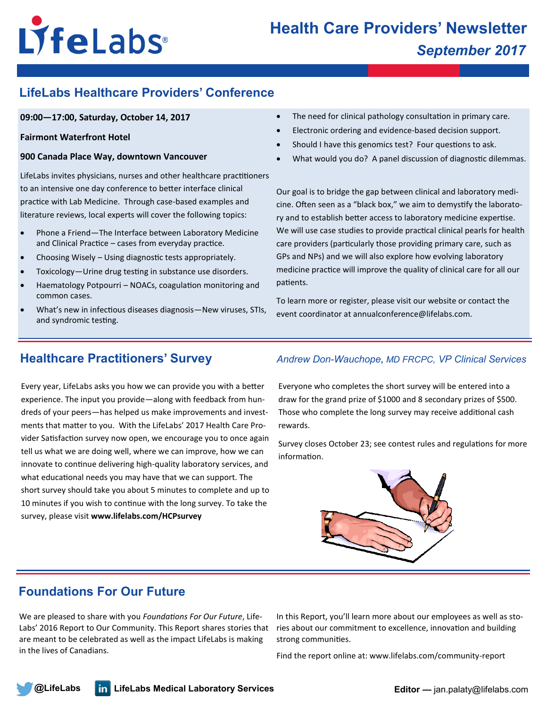# LyfeLabs®

# **LifeLabs Healthcare Providers' Conference**

## **09:00—17:00, Saturday, October 14, 2017**

### **Fairmont Waterfront Hotel**

### **900 Canada Place Way, downtown Vancouver**

LifeLabs invites physicians, nurses and other healthcare practitioners to an intensive one day conference to better interface clinical practice with Lab Medicine. Through case-based examples and literature reviews, local experts will cover the following topics:

- Phone a Friend—The Interface between Laboratory Medicine and Clinical Practice – cases from everyday practice.
- Choosing Wisely Using diagnostic tests appropriately.
- Toxicology—Urine drug testing in substance use disorders.
- Haematology Potpourri NOACs, coagulation monitoring and common cases.
- What's new in infectious diseases diagnosis—New viruses, STIs, and syndromic testing.
- The need for clinical pathology consultation in primary care.
- Electronic ordering and evidence-based decision support.
- Should I have this genomics test? Four questions to ask.
- What would you do? A panel discussion of diagnostic dilemmas.

Our goal is to bridge the gap between clinical and laboratory medicine. Often seen as a "black box," we aim to demystify the laboratory and to establish better access to laboratory medicine expertise. We will use case studies to provide practical clinical pearls for health care providers (particularly those providing primary care, such as GPs and NPs) and we will also explore how evolving laboratory medicine practice will improve the quality of clinical care for all our patients.

To learn more or register, please visit our website or contact the event coordinator at annualconference@lifelabs.com.

Every year, LifeLabs asks you how we can provide you with a better experience. The input you provide—along with feedback from hundreds of your peers—has helped us make improvements and investments that matter to you. With the LifeLabs' 2017 Health Care Provider Satisfaction survey now open, we encourage you to once again tell us what we are doing well, where we can improve, how we can innovate to continue delivering high-quality laboratory services, and what educational needs you may have that we can support. The short survey should take you about 5 minutes to complete and up to 10 minutes if you wish to continue with the long survey. To take the survey, please visit **www.lifelabs.com/HCPsurvey**

# **Healthcare Practitioners' Survey** *Andrew Don-Wauchope***,** *MD FRCPC, VP Clinical Services*

Everyone who completes the short survey will be entered into a draw for the grand prize of \$1000 and 8 secondary prizes of \$500. Those who complete the long survey may receive additional cash rewards.

Survey closes October 23; see contest rules and regulations for more information.



# **Foundations For Our Future**

We are pleased to share with you *Foundations For Our Future*, Life-Labs' 2016 Report to Our Community. This Report shares stories that are meant to be celebrated as well as the impact LifeLabs is making in the lives of Canadians.

In this Report, you'll learn more about our employees as well as stories about our commitment to excellence, innovation and building strong communities.

Find the report online at: www.lifelabs.com/community-report